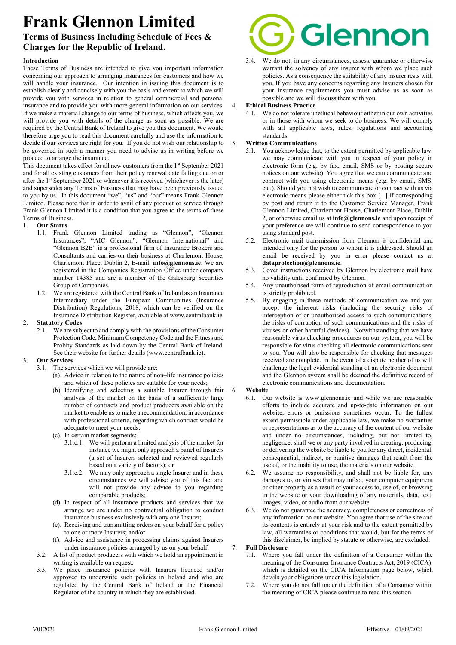# Frank Glennon Limited

# Terms of Business Including Schedule of Fees & Charges for the Republic of Ireland.

# Introduction

These Terms of Business are intended to give you important information concerning our approach to arranging insurances for customers and how we will handle your insurance. Our intention in issuing this document is to establish clearly and concisely with you the basis and extent to which we will provide you with services in relation to general commercial and personal insurance and to provide you with more general information on our services. If we make a material change to our terms of business, which affects you, we will provide you with details of the change as soon as possible. We are required by the Central Bank of Ireland to give you this document. We would therefore urge you to read this document carefully and use the information to decide if our services are right for you. If you do not wish our relationship to be governed in such a manner you need to advise us in writing before we proceed to arrange the insurance.

This document takes effect for all new customers from the  $1<sup>st</sup>$  September 2021 and for all existing customers from their policy renewal date falling due on or after the 1<sup>st</sup> September 2021 or whenever it is received (whichever is the later) and supersedes any Terms of Business that may have been previously issued to you by us. In this document "we", "us" and "our" means Frank Glennon Limited. Please note that in order to avail of any product or service through Frank Glennon Limited it is a condition that you agree to the terms of these Terms of Business.

# 1. Our Status

- 1.1. Frank Glennon Limited trading as "Glennon", "Glennon Insurances", "AIC Glennon", "Glennon International" and "Glennon B2B" is a professional firm of Insurance Brokers and Consultants and carries on their business at Charlemont House, Charlemont Place, Dublin 2, E-mail; info@glennons.ie. We are registered in the Companies Registration Office under company number 14385 and are a member of the Galesburg Securities Group of Companies.
- 1.2. We are registered with the Central Bank of Ireland as an Insurance Intermediary under the European Communities (Insurance Distribution) Regulations, 2018, which can be verified on the Insurance Distribution Register, available at www.centralbank.ie.

# 2. Statutory Codes

2.1. We are subject to and comply with the provisions of the Consumer Protection Code, Minimum Competency Code and the Fitness and Probity Standards as laid down by the Central Bank of Ireland. See their website for further details (www.centralbank.ie).

# 3. Our Services

- 3.1. The services which we will provide are:
	- (a). Advice in relation to the nature of non–life insurance policies and which of these policies are suitable for your needs;
	- (b). Identifying and selecting a suitable Insurer through fair analysis of the market on the basis of a sufficiently large number of contracts and product producers available on the market to enable us to make a recommendation, in accordance with professional criteria, regarding which contract would be adequate to meet your needs;
	- (c). In certain market segments:
		- 3.1.c.1. We will perform a limited analysis of the market for instance we might only approach a panel of Insurers (a set of Insurers selected and reviewed regularly based on a variety of factors); or
		- 3.1.c.2. We may only approach a single Insurer and in these circumstances we will advise you of this fact and will not provide any advice to you regarding comparable products;
	- (d). In respect of all insurance products and services that we arrange we are under no contractual obligation to conduct insurance business exclusively with any one Insurer;
	- (e). Receiving and transmitting orders on your behalf for a policy to one or more Insurers; and/or
	- (f). Advice and assistance in processing claims against Insurers under insurance policies arranged by us on your behalf.
- 3.2. A list of product producers with which we hold an appointment in writing is available on request.
- 3.3. We place insurance policies with Insurers licenced and/or approved to underwrite such policies in Ireland and who are regulated by the Central Bank of Ireland or the Financial Regulator of the country in which they are established.



3.4. We do not, in any circumstances, assess, guarantee or otherwise warrant the solvency of any insurer with whom we place such policies. As a consequence the suitability of any insurer rests with you. If you have any concerns regarding any Insurers chosen for your insurance requirements you must advise us as soon as possible and we will discuss them with you.

# **Ethical Business Practice**

4.1. We do not tolerate unethical behaviour either in our own activities or in those with whom we seek to do business. We will comply with all applicable laws, rules, regulations and accounting standards.

# 5. Written Communications

- 5.1. You acknowledge that, to the extent permitted by applicable law, we may communicate with you in respect of your policy in electronic form (e.g. by fax, email, SMS or by posting secure notices on our website). You agree that we can communicate and contract with you using electronic means (e.g. by email, SMS, etc.). Should you not wish to communicate or contract with us via electronic means please either tick this box [ ] if corresponding by post and return it to the Customer Service Manager, Frank Glennon Limited, Charlemont House, Charlemont Place, Dublin 2, or otherwise email us at **info@glennons**, ie and upon receipt of your preference we will continue to send correspondence to you using standard post.
- 5.2. Electronic mail transmission from Glennon is confidential and intended only for the person to whom it is addressed. Should an email be received by you in error please contact us at dataprotection@glennons.ie.
- 5.3. Cover instructions received by Glennon by electronic mail have no validity until confirmed by Glennon.
- 5.4. Any unauthorised form of reproduction of email communication is strictly prohibited.
- 5.5. By engaging in these methods of communication we and you accept the inherent risks (including the security risks of interception of or unauthorised access to such communications, the risks of corruption of such communications and the risks of viruses or other harmful devices). Notwithstanding that we have reasonable virus checking procedures on our system, you will be responsible for virus checking all electronic communications sent to you. You will also be responsible for checking that messages received are complete. In the event of a dispute neither of us will challenge the legal evidential standing of an electronic document and the Glennon system shall be deemed the definitive record of electronic communications and documentation.

# 6. Website

- 6.1. Our website is www.glennons.ie and while we use reasonable efforts to include accurate and up-to-date information on our website, errors or omissions sometimes occur. To the fullest extent permissible under applicable law, we make no warranties or representations as to the accuracy of the content of our website and under no circumstances, including, but not limited to, negligence, shall we or any party involved in creating, producing, or delivering the website be liable to you for any direct, incidental, consequential, indirect, or punitive damages that result from the use of, or the inability to use, the materials on our website.
- 6.2. We assume no responsibility, and shall not be liable for, any damages to, or viruses that may infect, your computer equipment or other property as a result of your access to, use of, or browsing in the website or your downloading of any materials, data, text, images, video, or audio from our website.
- 6.3. We do not guarantee the accuracy, completeness or correctness of any information on our website. You agree that use of the site and its contents is entirely at your risk and to the extent permitted by law, all warranties or conditions that would, but for the terms of this disclaimer, be implied by statute or otherwise, are excluded.

# 7. Full Disclosure

- 7.1. Where you fall under the definition of a Consumer within the meaning of the Consumer Insurance Contracts Act, 2019 (CICA), which is detailed on the CICA Information page below, which details your obligations under this legislation.
- 7.2. Where you do not fall under the definition of a Consumer within the meaning of CICA please continue to read this section.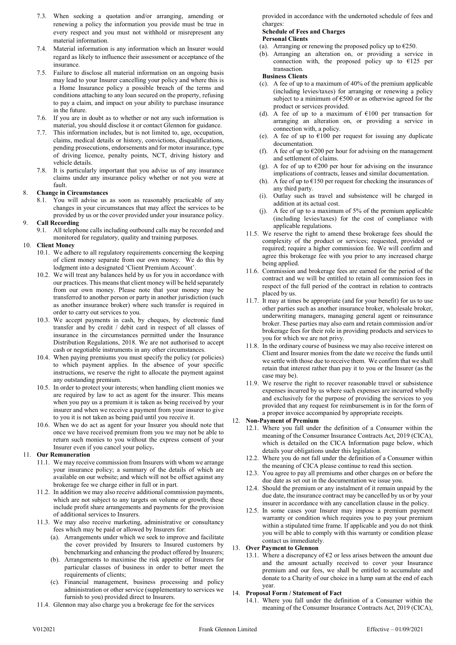- 7.3. When seeking a quotation and/or arranging, amending or renewing a policy the information you provide must be true in every respect and you must not withhold or misrepresent any material information.
- 7.4. Material information is any information which an Insurer would regard as likely to influence their assessment or acceptance of the insurance.
- 7.5. Failure to disclose all material information on an ongoing basis may lead to your Insurer cancelling your policy and where this is a Home Insurance policy a possible breach of the terms and conditions attaching to any loan secured on the property, refusing to pay a claim, and impact on your ability to purchase insurance in the future.
- 7.6. If you are in doubt as to whether or not any such information is material, you should disclose it or contact Glennon for guidance.
- This information includes, but is not limited to, age, occupation, claims, medical details or history, convictions, disqualifications, pending prosecutions, endorsements and for motor insurance, type of driving licence, penalty points, NCT, driving history and vehicle details.
- 7.8. It is particularly important that you advise us of any insurance claims under any insurance policy whether or not you were at fault.

# 8. Change in Circumstances

8.1. You will advise us as soon as reasonably practicable of any changes in your circumstances that may affect the services to be provided by us or the cover provided under your insurance policy.

#### 9. Call Recording

9.1. All telephone calls including outbound calls may be recorded and monitored for regulatory, quality and training purposes.

#### 10. Client Money

- 10.1. We adhere to all regulatory requirements concerning the keeping of client money separate from our own money. We do this by lodgment into a designated 'Client Premium Account'.
- 10.2. We will treat any balances held by us for you in accordance with our practices. This means that client money will be held separately from our own money. Please note that your money may be transferred to another person or party in another jurisdiction (such as another insurance broker) where such transfer is required in order to carry out services to you.
- 10.3. We accept payments in cash, by cheques, by electronic fund transfer and by credit / debit card in respect of all classes of insurance in the circumstances permitted under the Insurance Distribution Regulations, 2018. We are not authorised to accept cash or negotiable instruments in any other circumstances.
- 10.4. When paying premiums you must specify the policy (or policies) to which payment applies. In the absence of your specific instructions, we reserve the right to allocate the payment against any outstanding premium.
- 10.5. In order to protect your interests; when handling client monies we are required by law to act as agent for the insurer. This means when you pay us a premium it is taken as being received by your insurer and when we receive a payment from your insurer to give to you it is not taken as being paid until you receive it.
- 10.6. When we do act as agent for your Insurer you should note that once we have received premium from you we may not be able to return such monies to you without the express consent of your Insurer even if you cancel your policy.

#### 11. Our Remuneration

- 11.1. We may receive commission from Insurers with whom we arrange your insurance policy; a summary of the details of which are available on our website; and which will not be offset against any brokerage fee we charge either in full or in part.
- 11.2. In addition we may also receive additional commission payments, which are not subject to any targets on volume or growth; these include profit share arrangements and payments for the provision of additional services to Insurers.
- 11.3. We may also receive marketing, administrative or consultancy fees which may be paid or allowed by Insurers for:
	- (a). Arrangements under which we seek to improve and facilitate the cover provided by Insurers to Insured customers by benchmarking and enhancing the product offered by Insurers;
	- (b). Arrangements to maximise the risk appetite of Insurers for particular classes of business in order to better meet the requirements of clients;
	- (c). Financial management, business processing and policy administration or other service (supplementary to services we furnish to you) provided direct to Insurers.
- 11.4. Glennon may also charge you a brokerage fee for the services

provided in accordance with the undernoted schedule of fees and charges:

#### Schedule of Fees and Charges Personal Clients

# (a). Arranging or renewing the proposed policy up to  $\epsilon$ 250.

(b). Arranging an alteration on, or providing a service in connection with, the proposed policy up to  $E125$  per transaction.

#### Business Clients

- (c). A fee of up to a maximum of 40% of the premium applicable (including levies/taxes) for arranging or renewing a policy subject to a minimum of  $\epsilon$ 500 or as otherwise agreed for the product or services provided.
- (d). A fee of up to a maximum of  $E100$  per transaction for arranging an alteration on, or providing a service in connection with, a policy.
- (e). A fee of up to  $€100$  per request for issuing any duplicate documentation.
- (f). A fee of up to  $\epsilon$ 200 per hour for advising on the management and settlement of claims.
- (g). A fee of up to  $\epsilon$ 200 per hour for advising on the insurance implications of contracts, leases and similar documentation.
- (h). A fee of up to  $E150$  per request for checking the insurances of any third party.
- (i). Outlay such as travel and subsistence will be charged in addition at its actual cost.
- (j). A fee of up to a maximum of 5% of the premium applicable (including levies/taxes) for the cost of compliance with applicable regulations.
- 11.5. We reserve the right to amend these brokerage fees should the complexity of the product or services; requested, provided or required; require a higher commission fee. We will confirm and agree this brokerage fee with you prior to any increased charge being applied.
- 11.6. Commission and brokerage fees are earned for the period of the contract and we will be entitled to retain all commission fees in respect of the full period of the contract in relation to contracts placed by us.
- 11.7. It may at times be appropriate (and for your benefit) for us to use other parties such as another insurance broker, wholesale broker, underwriting managers, managing general agent or reinsurance broker. These parties may also earn and retain commission and/or brokerage fees for their role in providing products and services to you for which we are not privy.
- 11.8. In the ordinary course of business we may also receive interest on Client and Insurer monies from the date we receive the funds until we settle with those due to receive them. We confirm that we shall retain that interest rather than pay it to you or the Insurer (as the case may be).
- 11.9. We reserve the right to recover reasonable travel or subsistence expenses incurred by us where such expenses are incurred wholly and exclusively for the purpose of providing the services to you provided that any request for reimbursement is in for the form of a proper invoice accompanied by appropriate receipts.

#### 12. Non-Payment of Premium

- 12.1. Where you fall under the definition of a Consumer within the meaning of the Consumer Insurance Contracts Act, 2019 (CICA), which is detailed on the CICA Information page below, which details your obligations under this legislation.
- 12.2. Where you do not fall under the definition of a Consumer within the meaning of CICA please continue to read this section.
- 12.3. You agree to pay all premiums and other charges on or before the due date as set out in the documentation we issue you.
- 12.4. Should the premium or any instalment of it remain unpaid by the due date, the insurance contract may be cancelled by us or by your insurer in accordance with any cancellation clause in the policy.
- 12.5. In some cases your Insurer may impose a premium payment warranty or condition which requires you to pay your premium within a stipulated time frame. If applicable and you do not think you will be able to comply with this warranty or condition please contact us immediately.

#### 13. Over Payment to Glennon

13.1. Where a discrepancy of  $E2$  or less arises between the amount due and the amount actually received to cover your Insurance premium and our fees, we shall be entitled to accumulate and donate to a Charity of our choice in a lump sum at the end of each year.

#### 14. Proposal Form / Statement of Fact

14.1. Where you fall under the definition of a Consumer within the meaning of the Consumer Insurance Contracts Act, 2019 (CICA),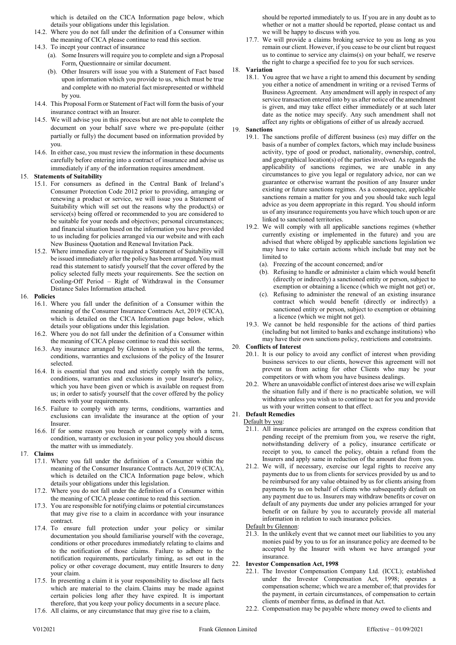which is detailed on the CICA Information page below, which details your obligations under this legislation.

- 14.2. Where you do not fall under the definition of a Consumer within the meaning of CICA please continue to read this section.
- 14.3. To incept your contract of insurance
	- (a). Some Insurers will require you to complete and sign a Proposal Form, Questionnaire or similar document.
	- (b). Other Insurers will issue you with a Statement of Fact based upon information which you provide to us, which must be true and complete with no material fact misrepresented or withheld by you.
- 14.4. This Proposal Form or Statement of Fact will form the basis of your insurance contract with an Insurer.
- 14.5. We will advise you in this process but are not able to complete the document on your behalf save where we pre-populate (either partially or fully) the document based on information provided by you.
- 14.6. In either case, you must review the information in these documents carefully before entering into a contract of insurance and advise us immediately if any of the information requires amendment.

# 15. Statements of Suitability

- 15.1. For consumers as defined in the Central Bank of Ireland's Consumer Protection Code 2012 prior to providing, arranging or renewing a product or service, we will issue you a Statement of Suitability which will set out the reasons why the product(s) or service(s) being offered or recommended to you are considered to be suitable for your needs and objectives; personal circumstances; and financial situation based on the information you have provided to us including for policies arranged via our website and with each New Business Quotation and Renewal Invitation Pack.
- 15.2. Where immediate cover is required a Statement of Suitability will be issued immediately after the policy has been arranged. You must read this statement to satisfy yourself that the cover offered by the policy selected fully meets your requirements. See the section on Cooling-Off Period – Right of Withdrawal in the Consumer Distance Sales Information attached.

# 16. Policies

- 16.1. Where you fall under the definition of a Consumer within the meaning of the Consumer Insurance Contracts Act, 2019 (CICA), which is detailed on the CICA Information page below, which details your obligations under this legislation.
- 16.2. Where you do not fall under the definition of a Consumer within the meaning of CICA please continue to read this section.
- 16.3. Any insurance arranged by Glennon is subject to all the terms, conditions, warranties and exclusions of the policy of the Insurer selected.
- 16.4. It is essential that you read and strictly comply with the terms, conditions, warranties and exclusions in your Insurer's policy, which you have been given or which is available on request from us; in order to satisfy yourself that the cover offered by the policy meets with your requirements.
- 16.5. Failure to comply with any terms, conditions, warranties and exclusions can invalidate the insurance at the option of your Insurer.
- 16.6. If for some reason you breach or cannot comply with a term, condition, warranty or exclusion in your policy you should discuss the matter with us immediately.

# 17. Claims

- 17.1. Where you fall under the definition of a Consumer within the meaning of the Consumer Insurance Contracts Act, 2019 (CICA), which is detailed on the CICA Information page below, which details your obligations under this legislation.
- 17.2. Where you do not fall under the definition of a Consumer within the meaning of CICA please continue to read this section.
- 17.3. You are responsible for notifying claims or potential circumstances that may give rise to a claim in accordance with your insurance contract.
- 17.4. To ensure full protection under your policy or similar documentation you should familiarise yourself with the coverage, conditions or other procedures immediately relating to claims and to the notification of those claims. Failure to adhere to the notification requirements, particularly timing, as set out in the policy or other coverage document, may entitle Insurers to deny your claim.
- 17.5. In presenting a claim it is your responsibility to disclose all facts which are material to the claim. Claims may be made against certain policies long after they have expired. It is important therefore, that you keep your policy documents in a secure place.
- 17.6. All claims, or any circumstance that may give rise to a claim,

should be reported immediately to us. If you are in any doubt as to whether or not a matter should be reported, please contact us and we will be happy to discuss with you.

17.7. We will provide a claims broking service to you as long as you remain our client. However, if you cease to be our client but request us to continue to service any claims(s) on your behalf, we reserve the right to charge a specified fee to you for such services.

# 18. Variation

18.1. You agree that we have a right to amend this document by sending you either a notice of amendment in writing or a revised Terms of Business Agreement. Any amendment will apply in respect of any service transaction entered into by us after notice of the amendment is given, and may take effect either immediately or at such later date as the notice may specify. Any such amendment shall not affect any rights or obligations of either of us already accrued.

# 19. Sanctions

- 19.1. The sanctions profile of different business (es) may differ on the basis of a number of complex factors, which may include business activity, type of good or product, nationality, ownership, control, and geographical location(s) of the parties involved. As regards the applicability of sanctions regimes, we are unable in any circumstances to give you legal or regulatory advice, nor can we guarantee or otherwise warrant the position of any Insurer under existing or future sanctions regimes. As a consequence, applicable sanctions remain a matter for you and you should take such legal advice as you deem appropriate in this regard. You should inform us of any insurance requirements you have which touch upon or are linked to sanctioned territories.
- 19.2. We will comply with all applicable sanctions regimes (whether currently existing or implemented in the future) and you are advised that where obliged by applicable sanctions legislation we may have to take certain actions which include but may not be limited to
	- (a). Freezing of the account concerned; and/or
	- (b). Refusing to handle or administer a claim which would benefit (directly or indirectly) a sanctioned entity or person, subject to exemption or obtaining a licence (which we might not get) or,
	- (c). Refusing to administer the renewal of an existing insurance contract which would benefit (directly or indirectly) a sanctioned entity or person, subject to exemption or obtaining a licence (which we might not get).
- 19.3. We cannot be held responsible for the actions of third parties (including but not limited to banks and exchange institutions) who may have their own sanctions policy, restrictions and constraints.

# 20. Conflicts of Interest

- 20.1. It is our policy to avoid any conflict of interest when providing business services to our clients, however this agreement will not prevent us from acting for other Clients who may be your competitors or with whom you have business dealings.
- 20.2. Where an unavoidable conflict of interest does arise we will explain the situation fully and if there is no practicable solution, we will withdraw unless you wish us to continue to act for you and provide us with your written consent to that effect.

# 21. Default Remedies

# Default by you:

- 21.1. All insurance policies are arranged on the express condition that pending receipt of the premium from you, we reserve the right, notwithstanding delivery of a policy, insurance certificate or receipt to you, to cancel the policy, obtain a refund from the Insurers and apply same in reduction of the amount due from you.
- 21.2. We will, if necessary, exercise our legal rights to receive any payments due to us from clients for services provided by us and to be reimbursed for any value obtained by us for clients arising from payments by us on behalf of clients who subsequently default on any payment due to us. Insurers may withdraw benefits or cover on default of any payments due under any policies arranged for your benefit or on failure by you to accurately provide all material information in relation to such insurance policies.
- Default by Glennon:
- 21.3. In the unlikely event that we cannot meet our liabilities to you any monies paid by you to us for an insurance policy are deemed to be accepted by the Insurer with whom we have arranged your insurance.

# 22. Investor Compensation Act, 1998

- 22.1. The Investor Compensation Company Ltd. (ICCL); established under the Investor Compensation Act, 1998; operates a compensation scheme; which we are a member of; that provides for the payment, in certain circumstances, of compensation to certain clients of member firms, as defined in that Act.
- 22.2. Compensation may be payable where money owed to clients and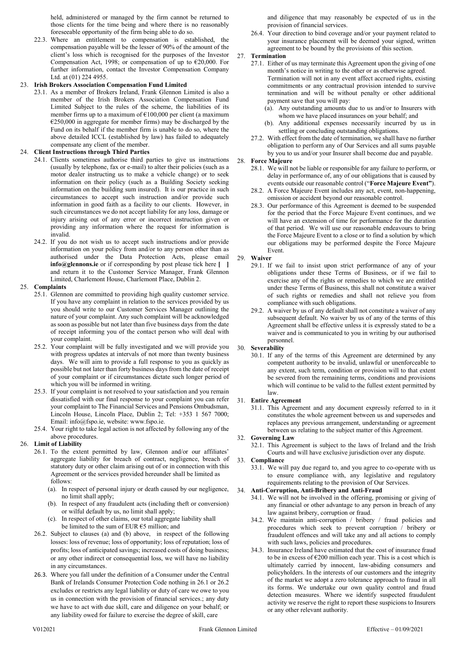held, administered or managed by the firm cannot be returned to those clients for the time being and where there is no reasonably foreseeable opportunity of the firm being able to do so.

22.3. Where an entitlement to compensation is established, the compensation payable will be the lesser of 90% of the amount of the client's loss which is recognised for the purposes of the Investor Compensation Act, 1998; or compensation of up to  $\epsilon$ 20,000. For further information, contact the Investor Compensation Company Ltd. at (01) 224 4955.

# 23. Irish Brokers Association Compensation Fund Limited

23.1. As a member of Brokers Ireland, Frank Glennon Limited is also a member of the Irish Brokers Association Compensation Fund Limited Subject to the rules of the scheme, the liabilities of its member firms up to a maximum of  $\epsilon$ 100,000 per client (a maximum €250,000 in aggregate for member firms) may be discharged by the Fund on its behalf if the member firm is unable to do so, where the above detailed ICCL (established by law) has failed to adequately compensate any client of the member.

# 24. Client Instructions through Third Parties

- 24.1. Clients sometimes authorise third parties to give us instructions (usually by telephone, fax or e-mail) to alter their policies (such as a motor dealer instructing us to make a vehicle change) or to seek information on their policy (such as a Building Society seeking information on the building sum insured). It is our practice in such circumstances to accept such instruction and/or provide such information in good faith as a facility to our clients. However, in such circumstances we do not accept liability for any loss, damage or injury arising out of any error or incorrect instruction given or providing any information where the request for information is invalid.
- 24.2. If you do not wish us to accept such instructions and/or provide information on your policy from and/or to any person other than as authorised under the Data Protection Acts, please email  $info@g$ lennons.ie or if corresponding by post please tick here  $\begin{bmatrix} \quad \end{bmatrix}$ and return it to the Customer Service Manager, Frank Glennon Limited, Charlemont House, Charlemont Place, Dublin 2.

# 25. Complaints

- 25.1. Glennon are committed to providing high quality customer service. If you have any complaint in relation to the services provided by us you should write to our Customer Services Manager outlining the nature of your complaint. Any such complaint will be acknowledged as soon as possible but not later than five business days from the date of receipt informing you of the contact person who will deal with your complaint.
- 25.2. Your complaint will be fully investigated and we will provide you with progress updates at intervals of not more than twenty business days. We will aim to provide a full response to you as quickly as possible but not later than forty business days from the date of receipt of your complaint or if circumstances dictate such longer period of which you will be informed in writing.
- 25.3. If your complaint is not resolved to your satisfaction and you remain dissatisfied with our final response to your complaint you can refer your complaint to The Financial Services and Pensions Ombudsman, Lincoln House, Lincoln Place, Dublin 2; Tel: +353 1 567 7000; Email: info@fspo.ie, website: www.fspo.ie.
- 25.4. Your right to take legal action is not affected by following any of the above procedures.

# 26. Limit of Liability

- 26.1. To the extent permitted by law, Glennon and/or our affiliates' aggregate liability for breach of contract, negligence, breach of statutory duty or other claim arising out of or in connection with this Agreement or the services provided hereunder shall be limited as follows:
	- (a). In respect of personal injury or death caused by our negligence, no limit shall apply;
	- (b). In respect of any fraudulent acts (including theft or conversion) or wilful default by us, no limit shall apply;
	- (c). In respect of other claims, our total aggregate liability shall be limited to the sum of EUR  $65$  million; and
- 26.2. Subject to clauses (a) and (b) above, in respect of the following losses: loss of revenue; loss of opportunity; loss of reputation; loss of profits; loss of anticipated savings; increased costs of doing business; or any other indirect or consequential loss, we will have no liability in any circumstances.
- 26.3. Where you fall under the definition of a Consumer under the Central Bank of Irelands Consumer Protection Code nothing in 26.1 or 26.2 excludes or restricts any legal liability or duty of care we owe to you us in connection with the provision of financial services.; any duty we have to act with due skill, care and diligence on your behalf; or any liability owed for failure to exercise the degree of skill, care

and diligence that may reasonably be expected of us in the provision of financial services.

26.4. Your direction to bind coverage and/or your payment related to your insurance placement will be deemed your signed, written agreement to be bound by the provisions of this section.

# 27. Termination

- 27.1. Either of us may terminate this Agreement upon the giving of one month's notice in writing to the other or as otherwise agreed. Termination will not in any event affect accrued rights, existing commitments or any contractual provision intended to survive termination and will be without penalty or other additional payment save that you will pay:
	- (a). Any outstanding amounts due to us and/or to Insurers with whom we have placed insurances on your behalf; and
	- (b). Any additional expenses necessarily incurred by us in settling or concluding outstanding obligations.
- 27.2. With effect from the date of termination, we shall have no further obligation to perform any of Our Services and all sums payable by you to us and/or your Insurer shall become due and payable.

# 28. Force Majeure

- 28.1. We will not be liable or responsible for any failure to perform, or delay in performance of, any of our obligations that is caused by events outside our reasonable control ("Force Majeure Event").
- 28.2. A Force Majeure Event includes any act, event, non-happening, omission or accident beyond our reasonable control.
- 28.3. Our performance of this Agreement is deemed to be suspended for the period that the Force Majeure Event continues, and we will have an extension of time for performance for the duration of that period. We will use our reasonable endeavours to bring the Force Majeure Event to a close or to find a solution by which our obligations may be performed despite the Force Majeure Event.
- 29. Waiver
	- 29.1. If we fail to insist upon strict performance of any of your obligations under these Terms of Business, or if we fail to exercise any of the rights or remedies to which we are entitled under these Terms of Business, this shall not constitute a waiver of such rights or remedies and shall not relieve you from compliance with such obligations.
	- 29.2. A waiver by us of any default shall not constitute a waiver of any subsequent default. No waiver by us of any of the terms of this Agreement shall be effective unless it is expressly stated to be a waiver and is communicated to you in writing by our authorised personnel.
- 30. Severability
	- 30.1. If any of the terms of this Agreement are determined by any competent authority to be invalid, unlawful or unenforceable to any extent, such term, condition or provision will to that extent be severed from the remaining terms, conditions and provisions which will continue to be valid to the fullest extent permitted by law.

# 31. Entire Agreement

31.1. This Agreement and any document expressly referred to in it constitutes the whole agreement between us and supersedes and replaces any previous arrangement, understanding or agreement between us relating to the subject matter of this Agreement.

# 32. Governing Law

32.1. This Agreement is subject to the laws of Ireland and the Irish Courts and will have exclusive jurisdiction over any dispute.

# 33. Compliance

33.1. We will pay due regard to, and you agree to co-operate with us to ensure compliance with, any legislative and regulatory requirements relating to the provision of Our Services.

# 34. Anti-Corruption, Anti-Bribery and Anti-Fraud

- 34.1. We will not be involved in the offering, promising or giving of any financial or other advantage to any person in breach of any law against bribery, corruption or fraud.
- 34.2. We maintain anti-corruption / bribery / fraud policies and procedures which seek to prevent corruption / bribery or fraudulent offences and will take any and all actions to comply with such laws, policies and procedures.
- 34.3. Insurance Ireland have estimated that the cost of insurance fraud to be in excess of  $\epsilon$ 200 million each year. This is a cost which is ultimately carried by innocent, law-abiding consumers and policyholders. In the interests of our customers and the integrity of the market we adopt a zero tolerance approach to fraud in all its forms. We undertake our own quality control and fraud detection measures. Where we identify suspected fraudulent activity we reserve the right to report these suspicions to Insurers or any other relevant authority.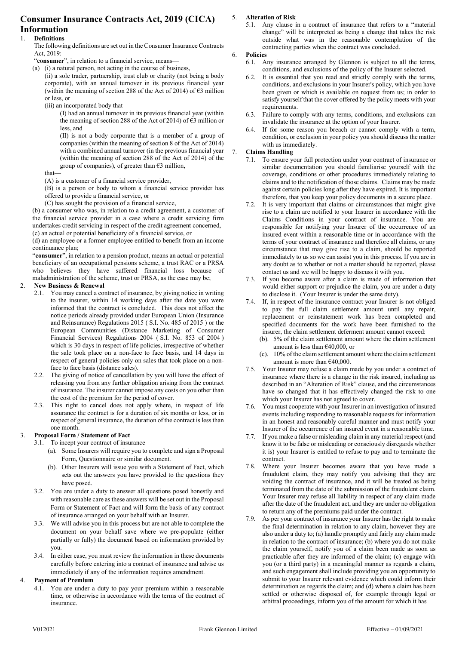# Consumer Insurance Contracts Act, 2019 (CICA)

#### Information 1. Definitions

The following definitions are set out in the Consumer Insurance Contracts Act, 2019:

"consumer", in relation to a financial service, means—

(a) (i) a natural person, not acting in the course of business,

(ii) a sole trader, partnership, trust club or charity (not being a body corporate), with an annual turnover in its previous financial year (within the meaning of section 288 of the Act of 2014) of  $\epsilon$ 3 million or less, or

(iii) an incorporated body that—

(I) had an annual turnover in its previous financial year (within the meaning of section 288 of the Act of 2014) of €3 million or less, and

(II) is not a body corporate that is a member of a group of companies (within the meaning of section 8 of the Act of 2014) with a combined annual turnover (in the previous financial year (within the meaning of section 288 of the Act of 2014) of the group of companies), of greater than  $\epsilon$ 3 million,

that—

(A) is a customer of a financial service provider,

(B) is a person or body to whom a financial service provider has offered to provide a financial service, or

(C) has sought the provision of a financial service,

(b) a consumer who was, in relation to a credit agreement, a customer of the financial service provider in a case where a credit servicing firm undertakes credit servicing in respect of the credit agreement concerned, (c) an actual or potential beneficiary of a financial service, or

(d) an employee or a former employee entitled to benefit from an income continuance plan;

"consumer", in relation to a pension product, means an actual or potential beneficiary of an occupational pensions scheme, a trust RAC or a PRSA who believes they have suffered financial loss because of maladministration of the scheme, trust or PRSA, as the case may be;

# 2. New Business & Renewal

- 2.1. You may cancel a contract of insurance, by giving notice in writing to the insurer, within 14 working days after the date you were informed that the contract is concluded. This does not affect the notice periods already provided under European Union (Insurance and Reinsurance) Regulations 2015 ( S.I. No. 485 of 2015 ) or the European Communities (Distance Marketing of Consumer Financial Services) Regulations 2004 ( S.I. No. 853 of 2004 ) which is 30 days in respect of life policies, irrespective of whether the sale took place on a non-face to face basis, and 14 days in respect of general policies only on sales that took place on a nonface to face basis (distance sales).
- 2.2. The giving of notice of cancellation by you will have the effect of releasing you from any further obligation arising from the contract of insurance. The insurer cannot impose any costs on you other than the cost of the premium for the period of cover.
- 2.3. This right to cancel does not apply where, in respect of life assurance the contract is for a duration of six months or less, or in respect of general insurance, the duration of the contract is less than one month.

# 3. Proposal Form / Statement of Fact

- 3.1. To incept your contract of insurance
	- (a). Some Insurers will require you to complete and sign a Proposal Form, Questionnaire or similar document.
	- (b). Other Insurers will issue you with a Statement of Fact, which sets out the answers you have provided to the questions they have posed.
- 3.2. You are under a duty to answer all questions posed honestly and with reasonable care as these answers will be set out in the Proposal Form or Statement of Fact and will form the basis of any contract of insurance arranged on your behalf with an Insurer.
- 3.3. We will advise you in this process but are not able to complete the document on your behalf save where we pre-populate (either partially or fully) the document based on information provided by you.
- 3.4. In either case, you must review the information in these documents carefully before entering into a contract of insurance and advise us immediately if any of the information requires amendment.

# 4. Payment of Premium

4.1. You are under a duty to pay your premium within a reasonable time, or otherwise in accordance with the terms of the contract of insurance.

# 5. Alteration of Risk

5.1. Any clause in a contract of insurance that refers to a "material change" will be interpreted as being a change that takes the risk outside what was in the reasonable contemplation of the contracting parties when the contract was concluded.

## 6. Policies

- 6.1. Any insurance arranged by Glennon is subject to all the terms, conditions, and exclusions of the policy of the Insurer selected.
- 6.2. It is essential that you read and strictly comply with the terms, conditions, and exclusions in your Insurer's policy, which you have been given or which is available on request from us; in order to satisfy yourself that the cover offered by the policy meets with your requirements.
- 6.3. Failure to comply with any terms, conditions, and exclusions can invalidate the insurance at the option of your Insurer.
- 6.4. If for some reason you breach or cannot comply with a term, condition, or exclusion in your policy you should discuss the matter with us immediately.

# 7. Claims Handling

- 7.1. To ensure your full protection under your contract of insurance or similar documentation you should familiarise yourself with the coverage, conditions or other procedures immediately relating to claims and to the notification of those claims. Claims may be made against certain policies long after they have expired. It is important therefore, that you keep your policy documents in a secure place.
- 7.2. It is very important that claims or circumstances that might give rise to a claim are notified to your Insurer in accordance with the Claims Conditions in your contract of insurance. You are responsible for notifying your Insurer of the occurrence of an insured event within a reasonable time or in accordance with the terms of your contract of insurance and therefore all claims, or any circumstance that may give rise to a claim, should be reported immediately to us so we can assist you in this process. If you are in any doubt as to whether or not a matter should be reported, please contact us and we will be happy to discuss it with you.
- 7.3. If you become aware after a claim is made of information that would either support or prejudice the claim, you are under a duty to disclose it. (Your Insurer is under the same duty).
- 7.4. If, in respect of the insurance contract your Insurer is not obliged to pay the full claim settlement amount until any repair, replacement or reinstatement work has been completed and specified documents for the work have been furnished to the insurer, the claim settlement deferment amount cannot exceed:
	- (b). 5% of the claim settlement amount where the claim settlement amount is less than €40,000, or
	- (c). 10% of the claim settlement amount where the claim settlement amount is more than €40,000.
- 7.5. Your Insurer may refuse a claim made by you under a contract of insurance where there is a change in the risk insured, including as described in an "Alteration of Risk" clause, and the circumstances have so changed that it has effectively changed the risk to one which your Insurer has not agreed to cover.
- 7.6. You must cooperate with your Insurer in an investigation of insured events including responding to reasonable requests for information in an honest and reasonably careful manner and must notify your Insurer of the occurrence of an insured event in a reasonable time.
- 7.7. If you make a false or misleading claim in any material respect (and know it to be false or misleading or consciously disregards whether it is) your Insurer is entitled to refuse to pay and to terminate the contract.
- 7.8. Where your Insurer becomes aware that you have made a fraudulent claim, they may notify you advising that they are voiding the contract of insurance, and it will be treated as being terminated from the date of the submission of the fraudulent claim. Your Insurer may refuse all liability in respect of any claim made after the date of the fraudulent act, and they are under no obligation to return any of the premiums paid under the contract.
- 7.9. As per your contract of insurance your Insurer has the right to make the final determination in relation to any claim, however they are also under a duty to; (a) handle promptly and fairly any claim made in relation to the contract of insurance; (b) where you do not make the claim yourself, notify you of a claim been made as soon as practicable after they are informed of the claim; (c) engage with you (or a third party) in a meaningful manner as regards a claim, and such engagement shall include providing you an opportunity to submit to your Insurer relevant evidence which could inform their determination as regards the claim; and (d) where a claim has been settled or otherwise disposed of, for example through legal or arbitral proceedings, inform you of the amount for which it has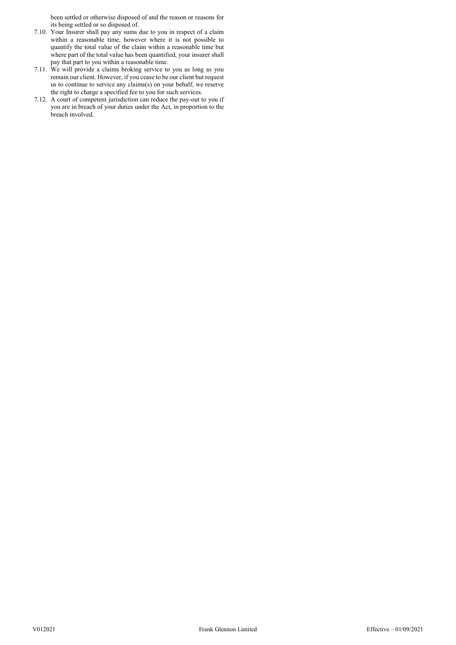been settled or otherwise disposed of and the reason or reasons for its being settled or so disposed of.

- 7.10. Your Insurer shall pay any sums due to you in respect of a claim within a reasonable time, however where it is not possible to quantify the total value of the claim within a reasonable time but where part of the total value has been quantified, your insurer shall pay that part to you within a reasonable time.
- 7.11. We will provide a claims broking service to you as long as you remain our client. However, if you cease to be our client but request us to continue to service any claims(s) on your behalf, we reserve the right to charge a specified fee to you for such services.
- 7.12. A court of competent jurisdiction can reduce the pay-out to you if you are in breach of your duties under the Act, in proportion to the breach involved.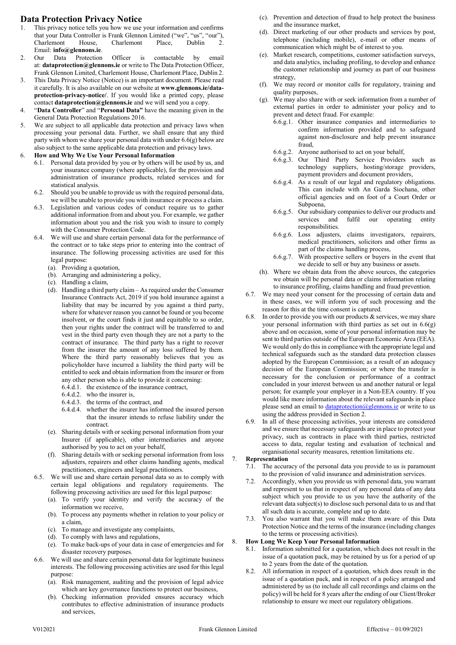# Data Protection Privacy Notice

- 1. This privacy notice tells you how we use your information and confirms that your Data Controller is Frank Glennon Limited ("we", "us", "our"), Charlemont House, Charlemont Place, Dublin Email: info@glennons.ie.
- 2. Our Data Protection Officer is contactable by email at: dataprotection@glennons.ie or write to The Data Protection Officer, Frank Glennon Limited, Charlemont House, Charlemont Place, Dublin 2.
- 3. This Data Privacy Notice (Notice) is an important document. Please read it carefully. It is also available on our website at www.glennons.ie/dataprotection-privacy-notice/. If you would like a printed copy, please contact dataprotection@glennons.ie and we will send you a copy.
- 4. "Data Controller" and "Personal Data" have the meaning given in the General Data Protection Regulations 2016.
- 5. We are subject to all applicable data protection and privacy laws when processing your personal data. Further, we shall ensure that any third party with whom we share your personal data with under  $6.6(q)$  below are also subject to the same applicable data protection and privacy laws.
- 6. How and Why We Use Your Personal Information
	- 6.1. Personal data provided by you or by others will be used by us, and your insurance company (where applicable), for the provision and administration of insurance products, related services and for statistical analysis.
	- 6.2. Should you be unable to provide us with the required personal data, we will be unable to provide you with insurance or process a claim.
	- 6.3. Legislation and various codes of conduct require us to gather additional information from and about you. For example, we gather information about you and the risk you wish to insure to comply with the Consumer Protection Code.
	- 6.4. We will use and share certain personal data for the performance of the contract or to take steps prior to entering into the contract of insurance. The following processing activities are used for this legal purpose:
		- (a). Providing a quotation,
		- (b). Arranging and administering a policy,
		- (c). Handling a claim,
		- (d). Handling a third party claim As required under the Consumer Insurance Contracts Act, 2019 if you hold insurance against a liability that may be incurred by you against a third party, where for whatever reason you cannot be found or you become insolvent, or the court finds it just and equitable to so order, then your rights under the contract will be transferred to and vest in the third party even though they are not a party to the contract of insurance. The third party has a right to recover from the insurer the amount of any loss suffered by them. Where the third party reasonably believes that you as policyholder have incurred a liability the third party will be entitled to seek and obtain information from the insurer or from any other person who is able to provide it concerning:
			- 6.4.d.1. the existence of the insurance contract,
			- 6.4.d.2. who the insurer is,
			- 6.4.d.3. the terms of the contract, and
			- 6.4.d.4. whether the insurer has informed the insured person that the insurer intends to refuse liability under the contract.
		- (e). Sharing details with or seeking personal information from your Insurer (if applicable), other intermediaries and anyone authorised by you to act on your behalf,
		- (f). Sharing details with or seeking personal information from loss adjusters, repairers and other claims handling agents, medical practitioners, engineers and legal practitioners.
	- 6.5. We will use and share certain personal data so as to comply with certain legal obligations and regulatory requirements. The following processing activities are used for this legal purpose:
		- (a). To verify your identity and verify the accuracy of the information we receive,
		- (b). To process any payments whether in relation to your policy or a claim,
		- (c). To manage and investigate any complaints,
		- (d). To comply with laws and regulations,
		- (e). To make back-ups of your data in case of emergencies and for disaster recovery purposes.
	- 6.6. We will use and share certain personal data for legitimate business interests. The following processing activities are used for this legal purpose:
		- (a). Risk management, auditing and the provision of legal advice which are key governance functions to protect our business,
		- (b). Checking information provided ensures accuracy which contributes to effective administration of insurance products and services,
- (c). Prevention and detection of fraud to help protect the business and the insurance market,
- (d). Direct marketing of our other products and services by post, telephone (including mobile), e-mail or other means of communication which might be of interest to you.
- (e). Market research, competitions, customer satisfaction surveys, and data analytics, including profiling, to develop and enhance the customer relationship and journey as part of our business strategy,
- (f). We may record or monitor calls for regulatory, training and quality purposes,
- (g). We may also share with or seek information from a number of external parties in order to administer your policy and to prevent and detect fraud. For example:
	- 6.6.g.1. Other insurance companies and intermediaries to confirm information provided and to safeguard against non-disclosure and help prevent insurance fraud,
	- 6.6.g.2. Anyone authorised to act on your behalf,
	- 6.6.g.3. Our Third Party Service Providers such as technology suppliers, hosting/storage providers, payment providers and document providers,
	- 6.6.g.4. As a result of our legal and regulatory obligations. This can include with An Garda Siochana, other official agencies and on foot of a Court Order or Subpoena,
	- 6.6.g.5. Our subsidiary companies to deliver our products and services and fulfil our operating entity responsibilities.
	- 6.6.g.6. Loss adjusters, claims investigators, repairers, medical practitioners, solicitors and other firms as part of the claims handling process,
	- 6.6.g.7. With prospective sellers or buyers in the event that we decide to sell or buy any business or assets.
- (h). Where we obtain data from the above sources, the categories we obtain will be personal data or claims information relating to insurance profiling, claims handling and fraud prevention.
- 6.7. We may need your consent for the processing of certain data and in these cases, we will inform you of such processing and the reason for this at the time consent is captured.
- 6.8. In order to provide you with our products  $\&$  services, we may share your personal information with third parties as set out in 6.6(g) above and on occasion, some of your personal information may be sent to third parties outside of the European Economic Area (EEA). We would only do this in compliance with the appropriate legal and technical safeguards such as the standard data protection clauses adopted by the European Commission; as a result of an adequacy decision of the European Commission; or where the transfer is necessary for the conclusion or performance of a contract concluded in your interest between us and another natural or legal person; for example your employer in a Non-EEA country. If you would like more information about the relevant safeguards in place please send an email to  $\frac{dataprotein(\partial)glennons.ie}{defmap}$  or write to us using the address provided in Section 2.
- 6.9. In all of these processing activities, your interests are considered and we ensure that necessary safeguards are in place to protect your privacy, such as contracts in place with third parties, restricted access to data, regular testing and evaluation of technical and organisational security measures, retention limitations etc.

# **Representation**

- 7.1. The accuracy of the personal data you provide to us is paramount to the provision of valid insurance and administration services.
- 7.2. Accordingly, when you provide us with personal data, you warrant and represent to us that in respect of any personal data of any data subject which you provide to us you have the authority of the relevant data subject(s) to disclose such personal data to us and that all such data is accurate, complete and up to date.
- 7.3. You also warrant that you will make them aware of this Data Protection Notice and the terms of the insurance (including changes to the terms or processing activities).

# 8. How Long We Keep Your Personal Information

- 8.1. Information submitted for a quotation, which does not result in the issue of a quotation pack, may be retained by us for a period of up to 2 years from the date of the quotation.
- 8.2. All information in respect of a quotation, which does result in the issue of a quotation pack, and in respect of a policy arranged and administered by us (to include all call recordings and claims on the policy) will be held for 8 years after the ending of our Client/Broker relationship to ensure we meet our regulatory obligations.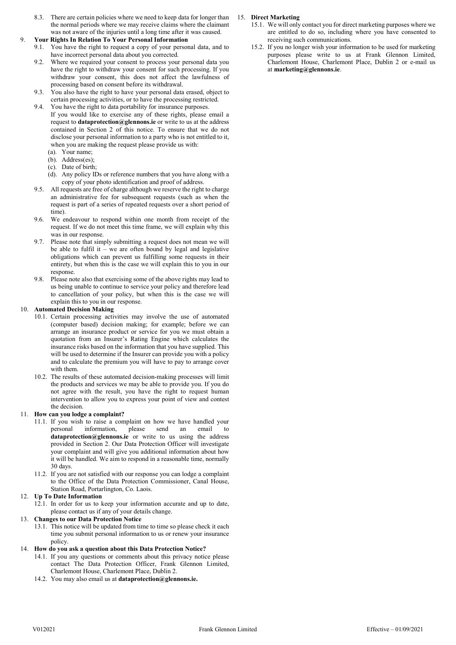8.3. There are certain policies where we need to keep data for longer than the normal periods where we may receive claims where the claimant was not aware of the injuries until a long time after it was caused.

# 9. Your Rights In Relation To Your Personal Information

- 9.1. You have the right to request a copy of your personal data, and to have incorrect personal data about you corrected.
- 9.2. Where we required your consent to process your personal data you have the right to withdraw your consent for such processing. If you withdraw your consent, this does not affect the lawfulness of processing based on consent before its withdrawal.
- 9.3. You also have the right to have your personal data erased, object to certain processing activities, or to have the processing restricted.
- 9.4. You have the right to data portability for insurance purposes. If you would like to exercise any of these rights, please email a request to dataprotection@glennons.ie or write to us at the address contained in Section 2 of this notice. To ensure that we do not disclose your personal information to a party who is not entitled to it, when you are making the request please provide us with:
	- (a). Your name;
	- (b). Address(es);
	- (c). Date of birth;
	- (d). Any policy IDs or reference numbers that you have along with a copy of your photo identification and proof of address.
- 9.5. All requests are free of charge although we reserve the right to charge an administrative fee for subsequent requests (such as when the request is part of a series of repeated requests over a short period of time).
- 9.6. We endeavour to respond within one month from receipt of the request. If we do not meet this time frame, we will explain why this was in our response.
- 9.7. Please note that simply submitting a request does not mean we will be able to fulfil it – we are often bound by legal and legislative obligations which can prevent us fulfilling some requests in their entirety, but when this is the case we will explain this to you in our response.
- 9.8. Please note also that exercising some of the above rights may lead to us being unable to continue to service your policy and therefore lead to cancellation of your policy, but when this is the case we will explain this to you in our response.

#### 10. Automated Decision Making

- 10.1. Certain processing activities may involve the use of automated (computer based) decision making; for example; before we can arrange an insurance product or service for you we must obtain a quotation from an Insurer's Rating Engine which calculates the insurance risks based on the information that you have supplied. This will be used to determine if the Insurer can provide you with a policy and to calculate the premium you will have to pay to arrange cover with them.
- 10.2. The results of these automated decision-making processes will limit the products and services we may be able to provide you. If you do not agree with the result, you have the right to request human intervention to allow you to express your point of view and contest the decision.

# 11. How can you lodge a complaint?

- 11.1. If you wish to raise a complaint on how we have handled your personal information, please send an email  $dataprotein@glennons.ie$  or write to us using the address provided in Section 2. Our Data Protection Officer will investigate your complaint and will give you additional information about how it will be handled. We aim to respond in a reasonable time, normally 30 days.
- 11.2. If you are not satisfied with our response you can lodge a complaint to the Office of the Data Protection Commissioner, Canal House, Station Road, Portarlington, Co. Laois.

# 12. Up To Date Information

12.1. In order for us to keep your information accurate and up to date, please contact us if any of your details change.

#### 13. Changes to our Data Protection Notice

- 13.1. This notice will be updated from time to time so please check it each time you submit personal information to us or renew your insurance policy.
- 14. How do you ask a question about this Data Protection Notice?
	- 14.1. If you any questions or comments about this privacy notice please contact The Data Protection Officer, Frank Glennon Limited, Charlemont House, Charlemont Place, Dublin 2.
	- 14.2. You may also email us at dataprotection@glennons.ie.

# 15. Direct Marketing

- 15.1. We will only contact you for direct marketing purposes where we are entitled to do so, including where you have consented to receiving such communications.
- 15.2. If you no longer wish your information to be used for marketing purposes please write to us at Frank Glennon Limited, Charlemont House, Charlemont Place, Dublin 2 or e-mail us at marketing@glennons.ie.